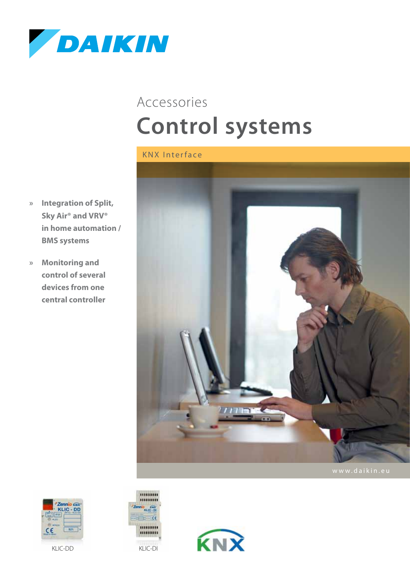

## **Control systems** Accessories

- **» Integration of Split, Sky Air® and VRV® in home automation / BMS systems**
- **» Monitoring and control of several devices from one central controller**